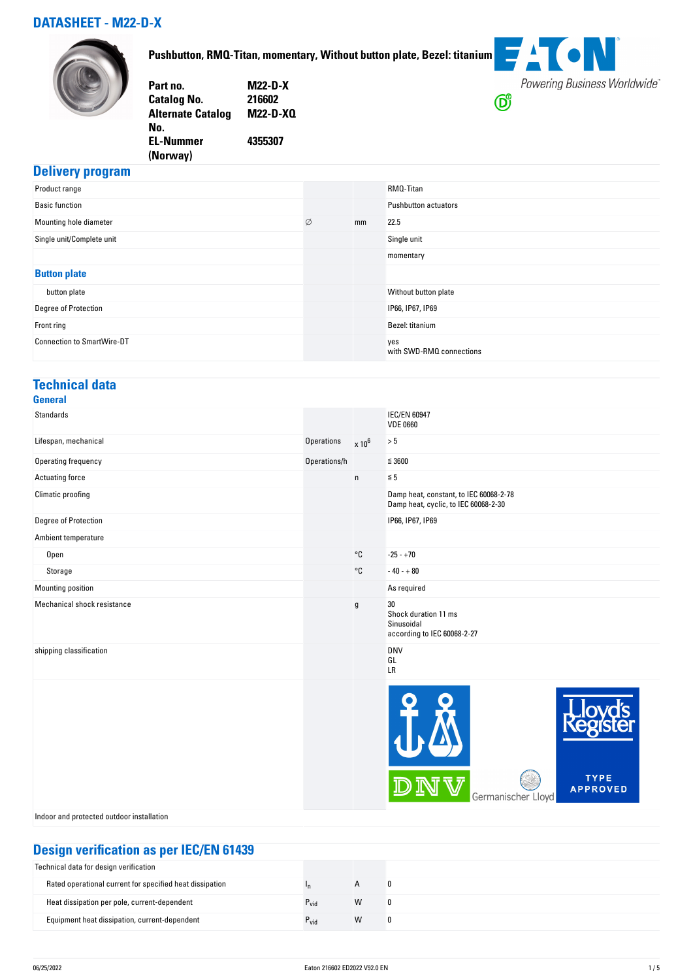## **DATASHEET - M22-D-X**



**Pushbutton, RMQ-Titan, momentary, Without button plate, Bezel: titanium**

| Part no.                 | <b>M22-D-X</b>  |
|--------------------------|-----------------|
| <b>Catalog No.</b>       | 216602          |
| <b>Alternate Catalog</b> | <b>M22-D-XQ</b> |
| No.                      |                 |
| <b>EL-Nummer</b>         | 4355307         |
| (Norway)                 |                 |



### **Delivery program**

| .<br>Product range                |   |    | RMQ-Titan                       |
|-----------------------------------|---|----|---------------------------------|
| <b>Basic function</b>             |   |    | <b>Pushbutton actuators</b>     |
| Mounting hole diameter            | Ø | mm | 22.5                            |
| Single unit/Complete unit         |   |    | Single unit                     |
|                                   |   |    | momentary                       |
| <b>Button plate</b>               |   |    |                                 |
| button plate                      |   |    | Without button plate            |
| Degree of Protection              |   |    | IP66, IP67, IP69                |
| Front ring                        |   |    | Bezel: titanium                 |
| <b>Connection to SmartWire-DT</b> |   |    | yes<br>with SWD-RMQ connections |

#### **Technical data General**

| <b>Standards</b>            |                   |                   | <b>IEC/EN 60947</b><br><b>VDE 0660</b>                                         |
|-----------------------------|-------------------|-------------------|--------------------------------------------------------------------------------|
| Lifespan, mechanical        | <b>Operations</b> | $\times 10^6$     | $> 5$                                                                          |
| Operating frequency         | Operations/h      |                   | $\leq 3600$                                                                    |
| Actuating force             |                   | $\mathsf{n}$      | $\leqq 5$                                                                      |
| Climatic proofing           |                   |                   | Damp heat, constant, to IEC 60068-2-78<br>Damp heat, cyclic, to IEC 60068-2-30 |
| Degree of Protection        |                   |                   | IP66, IP67, IP69                                                               |
| Ambient temperature         |                   |                   |                                                                                |
| Open                        |                   | $^{\circ}{\tt C}$ | $-25 - +70$                                                                    |
| Storage                     |                   | $^{\circ}$ C      | $-40 - +80$                                                                    |
| Mounting position           |                   |                   | As required                                                                    |
| Mechanical shock resistance |                   | g                 | 30<br>Shock duration 11 ms<br>Sinusoidal<br>according to IEC 60068-2-27        |
| shipping classification     |                   |                   | <b>DNV</b><br>GL<br>LR                                                         |
|                             |                   |                   | <b>TYPE</b><br><b>APPROVED</b><br>Germanischer Lloyd                           |

Indoor and protected outdoor installation

# **Design verification as per IEC/EN 61439**

| <u>sough tomounding portsupert of 199</u>                |                  |              |  |
|----------------------------------------------------------|------------------|--------------|--|
| Technical data for design verification                   |                  |              |  |
| Rated operational current for specified heat dissipation | In.              | $\mathsf{A}$ |  |
| Heat dissipation per pole, current-dependent             | $P_{\text{vid}}$ | W            |  |
| Equipment heat dissipation, current-dependent            | $P_{vid}$        | W            |  |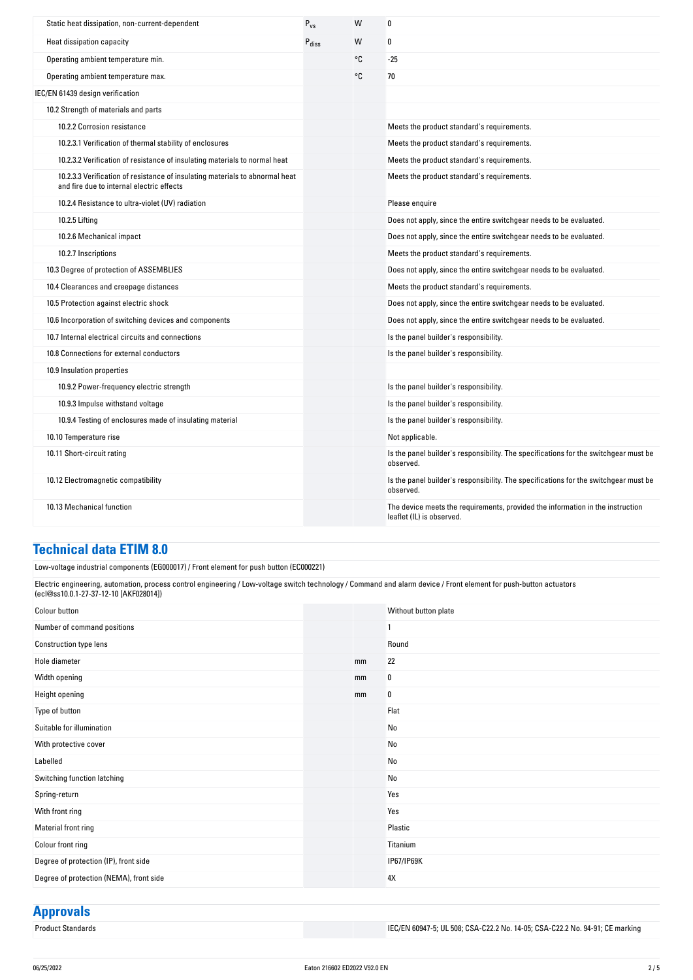| Static heat dissipation, non-current-dependent                                                                            | $P_{VS}$          | W  | 0                                                                                                           |
|---------------------------------------------------------------------------------------------------------------------------|-------------------|----|-------------------------------------------------------------------------------------------------------------|
| Heat dissipation capacity                                                                                                 | $P_{\text{diss}}$ | W  | 0                                                                                                           |
| Operating ambient temperature min.                                                                                        |                   | °C | $-25$                                                                                                       |
| Operating ambient temperature max.                                                                                        |                   | °C | 70                                                                                                          |
| IEC/EN 61439 design verification                                                                                          |                   |    |                                                                                                             |
| 10.2 Strength of materials and parts                                                                                      |                   |    |                                                                                                             |
| 10.2.2 Corrosion resistance                                                                                               |                   |    | Meets the product standard's requirements.                                                                  |
| 10.2.3.1 Verification of thermal stability of enclosures                                                                  |                   |    | Meets the product standard's requirements.                                                                  |
| 10.2.3.2 Verification of resistance of insulating materials to normal heat                                                |                   |    | Meets the product standard's requirements.                                                                  |
| 10.2.3.3 Verification of resistance of insulating materials to abnormal heat<br>and fire due to internal electric effects |                   |    | Meets the product standard's requirements.                                                                  |
| 10.2.4 Resistance to ultra-violet (UV) radiation                                                                          |                   |    | Please enquire                                                                                              |
| 10.2.5 Lifting                                                                                                            |                   |    | Does not apply, since the entire switchgear needs to be evaluated.                                          |
| 10.2.6 Mechanical impact                                                                                                  |                   |    | Does not apply, since the entire switchgear needs to be evaluated.                                          |
| 10.2.7 Inscriptions                                                                                                       |                   |    | Meets the product standard's requirements.                                                                  |
| 10.3 Degree of protection of ASSEMBLIES                                                                                   |                   |    | Does not apply, since the entire switchgear needs to be evaluated.                                          |
| 10.4 Clearances and creepage distances                                                                                    |                   |    | Meets the product standard's requirements.                                                                  |
| 10.5 Protection against electric shock                                                                                    |                   |    | Does not apply, since the entire switchgear needs to be evaluated.                                          |
| 10.6 Incorporation of switching devices and components                                                                    |                   |    | Does not apply, since the entire switchgear needs to be evaluated.                                          |
| 10.7 Internal electrical circuits and connections                                                                         |                   |    | Is the panel builder's responsibility.                                                                      |
| 10.8 Connections for external conductors                                                                                  |                   |    | Is the panel builder's responsibility.                                                                      |
| 10.9 Insulation properties                                                                                                |                   |    |                                                                                                             |
| 10.9.2 Power-frequency electric strength                                                                                  |                   |    | Is the panel builder's responsibility.                                                                      |
| 10.9.3 Impulse withstand voltage                                                                                          |                   |    | Is the panel builder's responsibility.                                                                      |
| 10.9.4 Testing of enclosures made of insulating material                                                                  |                   |    | Is the panel builder's responsibility.                                                                      |
| 10.10 Temperature rise                                                                                                    |                   |    | Not applicable.                                                                                             |
| 10.11 Short-circuit rating                                                                                                |                   |    | Is the panel builder's responsibility. The specifications for the switchgear must be<br>observed.           |
| 10.12 Electromagnetic compatibility                                                                                       |                   |    | Is the panel builder's responsibility. The specifications for the switchgear must be<br>observed.           |
| 10.13 Mechanical function                                                                                                 |                   |    | The device meets the requirements, provided the information in the instruction<br>leaflet (IL) is observed. |

#### **Technical data ETIM 8.0**

Low-voltage industrial components (EG000017) / Front element for push button (EC000221)

Electric engineering, automation, process control engineering / Low-voltage switch technology / Command and alarm device / Front element for push-button actuators (ecl@ss10.0.1-27-37-12-10 [AKF028014])

| Colour button                           |    | Without button plate |
|-----------------------------------------|----|----------------------|
| Number of command positions             |    |                      |
| <b>Construction type lens</b>           |    | Round                |
| Hole diameter                           | mm | 22                   |
| Width opening                           | mm | 0                    |
| Height opening                          | mm | 0                    |
| Type of button                          |    | Flat                 |
| Suitable for illumination               |    | No                   |
| With protective cover                   |    | No                   |
| Labelled                                |    | No                   |
| Switching function latching             |    | No                   |
| Spring-return                           |    | Yes                  |
| With front ring                         |    | Yes                  |
| Material front ring                     |    | Plastic              |
| Colour front ring                       |    | Titanium             |
| Degree of protection (IP), front side   |    | IP67/IP69K           |
| Degree of protection (NEMA), front side |    | 4Х                   |

# **Approvals**<br>**Product Standards**

IEC/EN 60947-5; UL 508; CSA-C22.2 No. 14-05; CSA-C22.2 No. 94-91; CE marking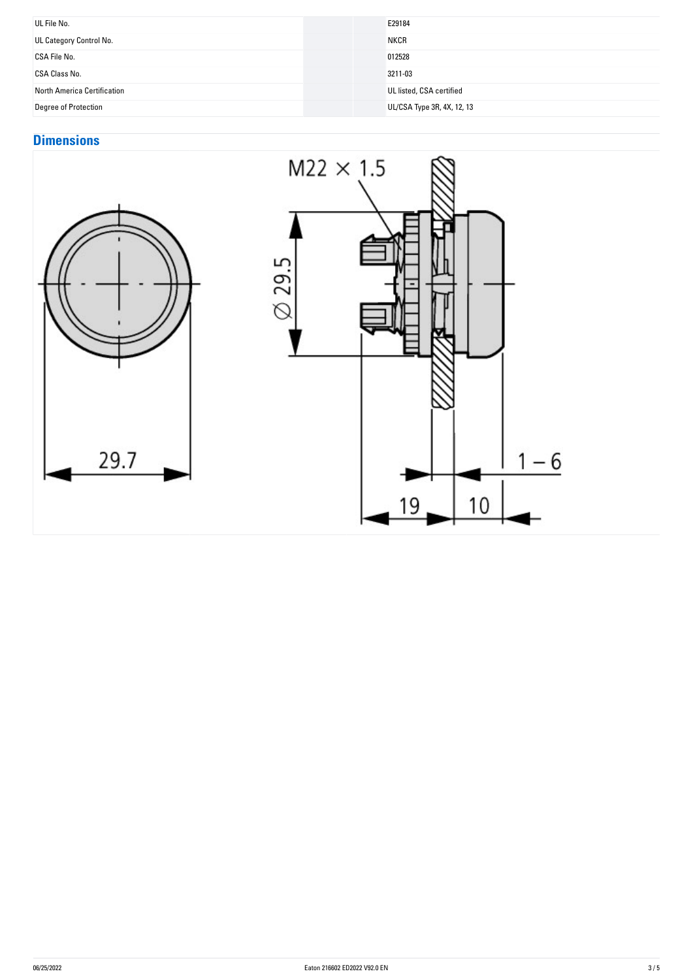| UL File No.                 | E29184                     |
|-----------------------------|----------------------------|
| UL Category Control No.     | <b>NKCR</b>                |
| CSA File No.                | 012528                     |
| CSA Class No.               | 3211-03                    |
| North America Certification | UL listed, CSA certified   |
| <b>Degree of Protection</b> | UL/CSA Type 3R, 4X, 12, 13 |

# **Dimensions**



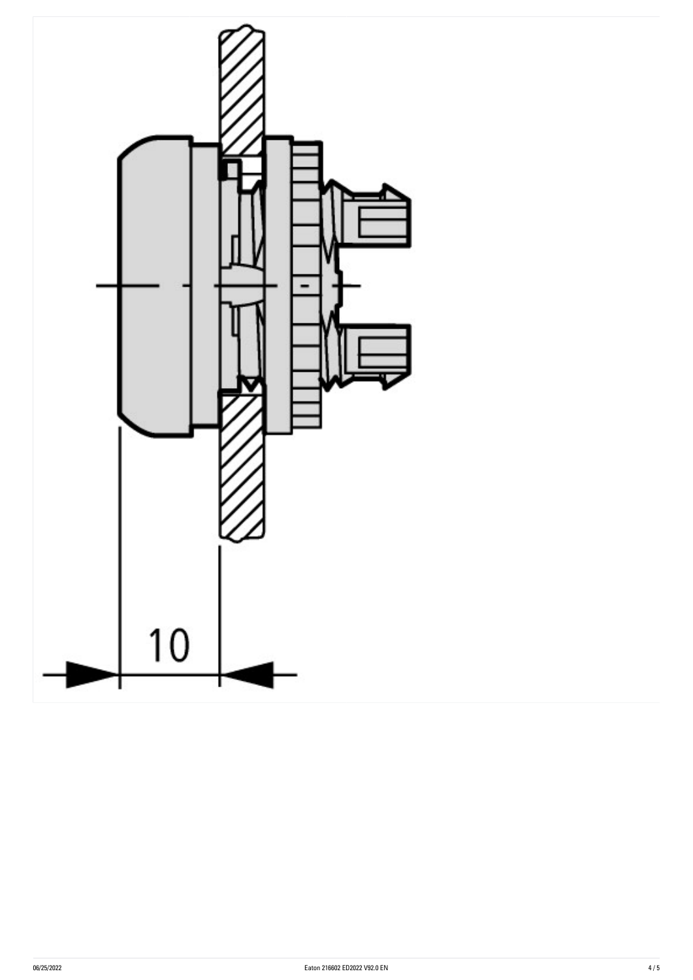